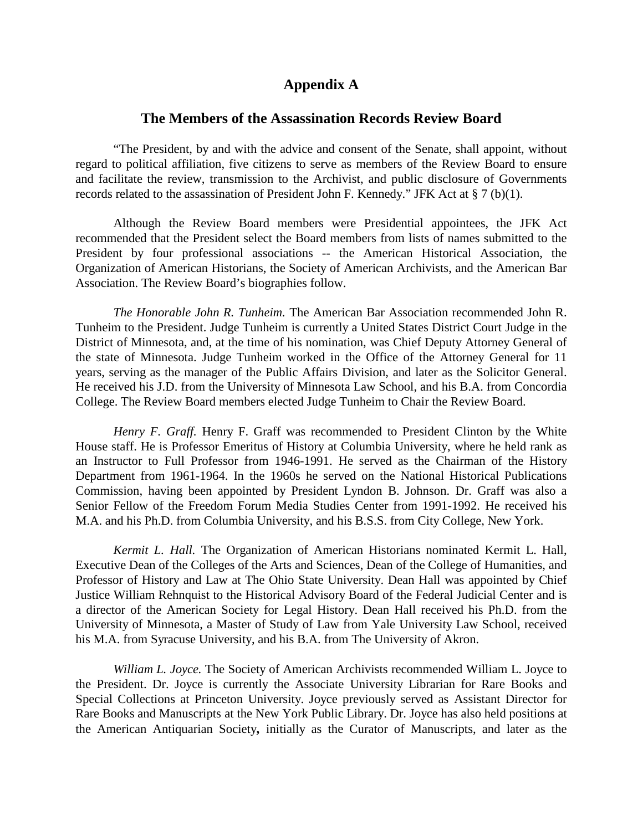## **Appendix A**

### **The Members of the Assassination Records Review Board**

"The President, by and with the advice and consent of the Senate, shall appoint, without regard to political affiliation, five citizens to serve as members of the Review Board to ensure and facilitate the review, transmission to the Archivist, and public disclosure of Governments records related to the assassination of President John F. Kennedy." JFK Act at § 7 (b)(1).

Although the Review Board members were Presidential appointees, the JFK Act recommended that the President select the Board members from lists of names submitted to the President by four professional associations -- the American Historical Association, the Organization of American Historians, the Society of American Archivists, and the American Bar Association. The Review Board's biographies follow.

*The Honorable John R. Tunheim.* The American Bar Association recommended John R. Tunheim to the President. Judge Tunheim is currently a United States District Court Judge in the District of Minnesota, and, at the time of his nomination, was Chief Deputy Attorney General of the state of Minnesota. Judge Tunheim worked in the Office of the Attorney General for 11 years, serving as the manager of the Public Affairs Division, and later as the Solicitor General. He received his J.D. from the University of Minnesota Law School, and his B.A. from Concordia College. The Review Board members elected Judge Tunheim to Chair the Review Board.

*Henry F. Graff.* Henry F. Graff was recommended to President Clinton by the White House staff. He is Professor Emeritus of History at Columbia University, where he held rank as an Instructor to Full Professor from 1946-1991. He served as the Chairman of the History Department from 1961-1964. In the 1960s he served on the National Historical Publications Commission, having been appointed by President Lyndon B. Johnson. Dr. Graff was also a Senior Fellow of the Freedom Forum Media Studies Center from 1991-1992. He received his M.A. and his Ph.D. from Columbia University, and his B.S.S. from City College, New York.

*Kermit L. Hall.* The Organization of American Historians nominated Kermit L. Hall, Executive Dean of the Colleges of the Arts and Sciences, Dean of the College of Humanities, and Professor of History and Law at The Ohio State University. Dean Hall was appointed by Chief Justice William Rehnquist to the Historical Advisory Board of the Federal Judicial Center and is a director of the American Society for Legal History. Dean Hall received his Ph.D. from the University of Minnesota, a Master of Study of Law from Yale University Law School, received his M.A. from Syracuse University, and his B.A. from The University of Akron.

*William L. Joyce.* The Society of American Archivists recommended William L. Joyce to the President. Dr. Joyce is currently the Associate University Librarian for Rare Books and Special Collections at Princeton University. Joyce previously served as Assistant Director for Rare Books and Manuscripts at the New York Public Library. Dr. Joyce has also held positions at the American Antiquarian Society**,** initially as the Curator of Manuscripts, and later as the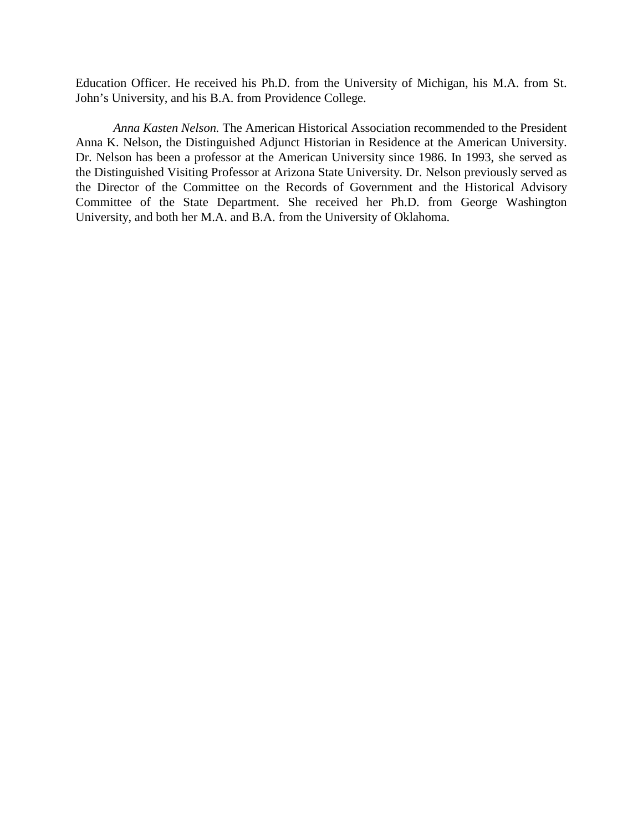Education Officer. He received his Ph.D. from the University of Michigan, his M.A. from St. John's University, and his B.A. from Providence College.

*Anna Kasten Nelson.* The American Historical Association recommended to the President Anna K. Nelson, the Distinguished Adjunct Historian in Residence at the American University. Dr. Nelson has been a professor at the American University since 1986. In 1993, she served as the Distinguished Visiting Professor at Arizona State University. Dr. Nelson previously served as the Director of the Committee on the Records of Government and the Historical Advisory Committee of the State Department. She received her Ph.D. from George Washington University, and both her M.A. and B.A. from the University of Oklahoma.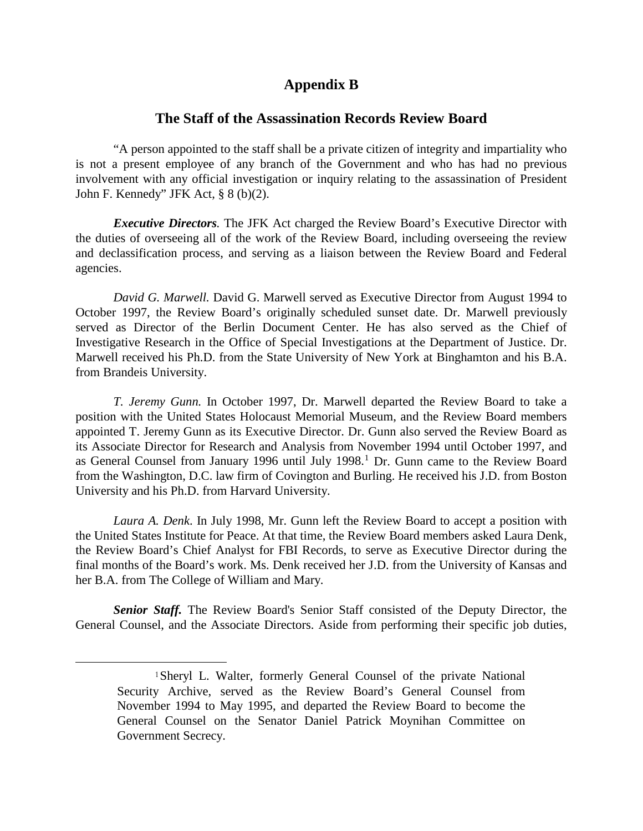# **Appendix B**

### **The Staff of the Assassination Records Review Board**

"A person appointed to the staff shall be a private citizen of integrity and impartiality who is not a present employee of any branch of the Government and who has had no previous involvement with any official investigation or inquiry relating to the assassination of President John F. Kennedy" JFK Act, § 8 (b)(2).

*Executive Directors.* The JFK Act charged the Review Board's Executive Director with the duties of overseeing all of the work of the Review Board, including overseeing the review and declassification process, and serving as a liaison between the Review Board and Federal agencies.

*David G. Marwell.* David G. Marwell served as Executive Director from August 1994 to October 1997, the Review Board's originally scheduled sunset date. Dr. Marwell previously served as Director of the Berlin Document Center. He has also served as the Chief of Investigative Research in the Office of Special Investigations at the Department of Justice. Dr. Marwell received his Ph.D. from the State University of New York at Binghamton and his B.A. from Brandeis University.

*T. Jeremy Gunn.* In October 1997, Dr. Marwell departed the Review Board to take a position with the United States Holocaust Memorial Museum, and the Review Board members appointed T. Jeremy Gunn as its Executive Director. Dr. Gunn also served the Review Board as its Associate Director for Research and Analysis from November 1994 until October 1997, and as General Counsel from January [1](#page-2-0)996 until July 1998.<sup>1</sup> Dr. Gunn came to the Review Board from the Washington, D.C. law firm of Covington and Burling. He received his J.D. from Boston University and his Ph.D. from Harvard University.

*Laura A. Denk*. In July 1998, Mr. Gunn left the Review Board to accept a position with the United States Institute for Peace. At that time, the Review Board members asked Laura Denk, the Review Board's Chief Analyst for FBI Records, to serve as Executive Director during the final months of the Board's work. Ms. Denk received her J.D. from the University of Kansas and her B.A. from The College of William and Mary.

<span id="page-2-0"></span>*Senior Staff.* The Review Board's Senior Staff consisted of the Deputy Director, the General Counsel, and the Associate Directors. Aside from performing their specific job duties,

<sup>1</sup>Sheryl L. Walter, formerly General Counsel of the private National Security Archive, served as the Review Board's General Counsel from November 1994 to May 1995, and departed the Review Board to become the General Counsel on the Senator Daniel Patrick Moynihan Committee on Government Secrecy.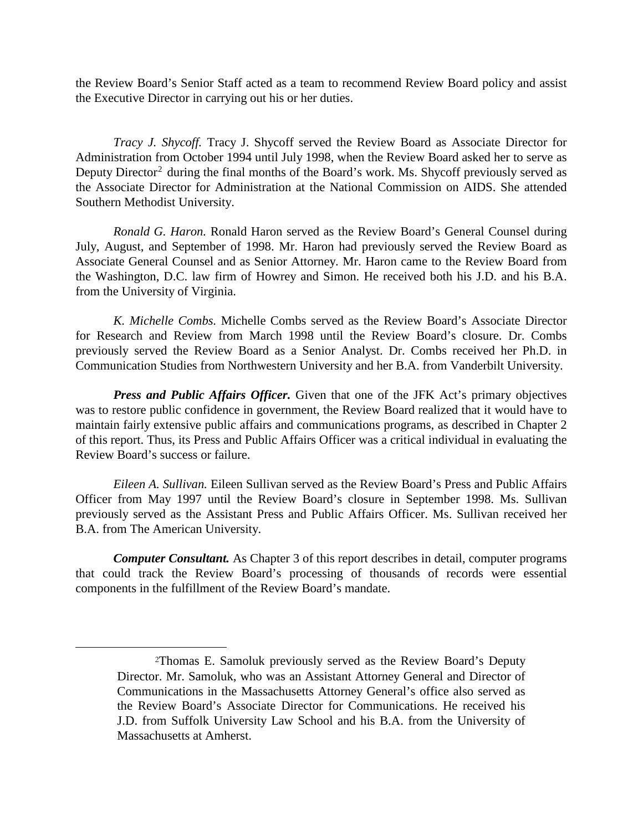the Review Board's Senior Staff acted as a team to recommend Review Board policy and assist the Executive Director in carrying out his or her duties.

*Tracy J. Shycoff.* Tracy J. Shycoff served the Review Board as Associate Director for Administration from October 1994 until July 1998, when the Review Board asked her to serve as Deputy Director<sup>[2](#page-3-0)</sup> during the final months of the Board's work. Ms. Shycoff previously served as the Associate Director for Administration at the National Commission on AIDS. She attended Southern Methodist University.

*Ronald G. Haron.* Ronald Haron served as the Review Board's General Counsel during July, August, and September of 1998. Mr. Haron had previously served the Review Board as Associate General Counsel and as Senior Attorney. Mr. Haron came to the Review Board from the Washington, D.C. law firm of Howrey and Simon. He received both his J.D. and his B.A. from the University of Virginia.

*K. Michelle Combs.* Michelle Combs served as the Review Board's Associate Director for Research and Review from March 1998 until the Review Board's closure. Dr. Combs previously served the Review Board as a Senior Analyst. Dr. Combs received her Ph.D. in Communication Studies from Northwestern University and her B.A. from Vanderbilt University.

*Press and Public Affairs Officer.* Given that one of the JFK Act's primary objectives was to restore public confidence in government, the Review Board realized that it would have to maintain fairly extensive public affairs and communications programs, as described in Chapter 2 of this report. Thus, its Press and Public Affairs Officer was a critical individual in evaluating the Review Board's success or failure.

*Eileen A. Sullivan.* Eileen Sullivan served as the Review Board's Press and Public Affairs Officer from May 1997 until the Review Board's closure in September 1998. Ms. Sullivan previously served as the Assistant Press and Public Affairs Officer. Ms. Sullivan received her B.A. from The American University.

*Computer Consultant.* As Chapter 3 of this report describes in detail, computer programs that could track the Review Board's processing of thousands of records were essential components in the fulfillment of the Review Board's mandate.

<span id="page-3-0"></span><sup>2</sup>Thomas E. Samoluk previously served as the Review Board's Deputy Director. Mr. Samoluk, who was an Assistant Attorney General and Director of Communications in the Massachusetts Attorney General's office also served as the Review Board's Associate Director for Communications. He received his J.D. from Suffolk University Law School and his B.A. from the University of Massachusetts at Amherst.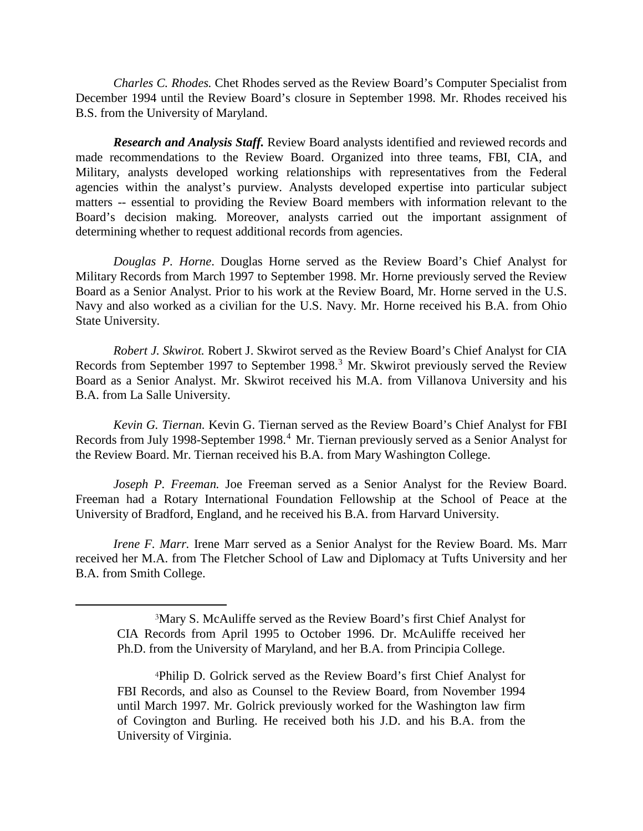*Charles C. Rhodes.* Chet Rhodes served as the Review Board's Computer Specialist from December 1994 until the Review Board's closure in September 1998. Mr. Rhodes received his B.S. from the University of Maryland.

*Research and Analysis Staff.* Review Board analysts identified and reviewed records and made recommendations to the Review Board. Organized into three teams, FBI, CIA, and Military, analysts developed working relationships with representatives from the Federal agencies within the analyst's purview. Analysts developed expertise into particular subject matters -- essential to providing the Review Board members with information relevant to the Board's decision making. Moreover, analysts carried out the important assignment of determining whether to request additional records from agencies.

*Douglas P. Horne*. Douglas Horne served as the Review Board's Chief Analyst for Military Records from March 1997 to September 1998. Mr. Horne previously served the Review Board as a Senior Analyst. Prior to his work at the Review Board, Mr. Horne served in the U.S. Navy and also worked as a civilian for the U.S. Navy. Mr. Horne received his B.A. from Ohio State University.

*Robert J. Skwirot.* Robert J. Skwirot served as the Review Board's Chief Analyst for CIA Records from September 1997 to September 1998.<sup>[3](#page-4-0)</sup> Mr. Skwirot previously served the Review Board as a Senior Analyst. Mr. Skwirot received his M.A. from Villanova University and his B.A. from La Salle University.

*Kevin G. Tiernan.* Kevin G. Tiernan served as the Review Board's Chief Analyst for FBI Records from July 1998-September 1998.<sup>[4](#page-4-1)</sup> Mr. Tiernan previously served as a Senior Analyst for the Review Board. Mr. Tiernan received his B.A. from Mary Washington College.

*Joseph P. Freeman.* Joe Freeman served as a Senior Analyst for the Review Board. Freeman had a Rotary International Foundation Fellowship at the School of Peace at the University of Bradford, England, and he received his B.A. from Harvard University.

<span id="page-4-0"></span>*Irene F. Marr.* Irene Marr served as a Senior Analyst for the Review Board. Ms. Marr received her M.A. from The Fletcher School of Law and Diplomacy at Tufts University and her B.A. from Smith College.

<sup>3</sup>Mary S. McAuliffe served as the Review Board's first Chief Analyst for CIA Records from April 1995 to October 1996. Dr. McAuliffe received her Ph.D. from the University of Maryland, and her B.A. from Principia College.

<span id="page-4-1"></span><sup>4</sup>Philip D. Golrick served as the Review Board's first Chief Analyst for FBI Records, and also as Counsel to the Review Board, from November 1994 until March 1997. Mr. Golrick previously worked for the Washington law firm of Covington and Burling. He received both his J.D. and his B.A. from the University of Virginia.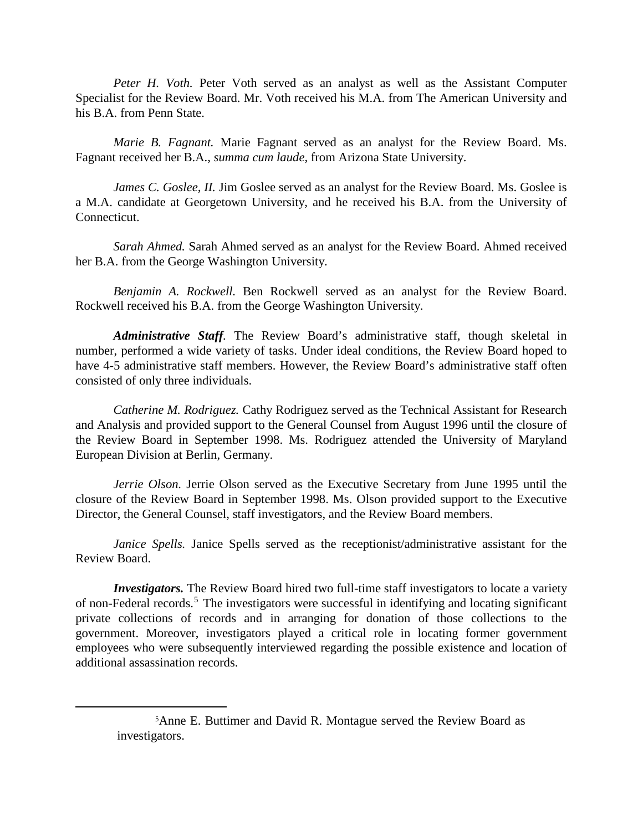*Peter H. Voth.* Peter Voth served as an analyst as well as the Assistant Computer Specialist for the Review Board. Mr. Voth received his M.A. from The American University and his B.A. from Penn State.

*Marie B. Fagnant.* Marie Fagnant served as an analyst for the Review Board. Ms. Fagnant received her B.A., *summa cum laude,* from Arizona State University.

*James C. Goslee, II. Jim Goslee served as an analyst for the Review Board. Ms. Goslee is* a M.A. candidate at Georgetown University, and he received his B.A. from the University of Connecticut.

*Sarah Ahmed.* Sarah Ahmed served as an analyst for the Review Board. Ahmed received her B.A. from the George Washington University.

*Benjamin A. Rockwell.* Ben Rockwell served as an analyst for the Review Board. Rockwell received his B.A. from the George Washington University.

*Administrative Staff.* The Review Board's administrative staff, though skeletal in number, performed a wide variety of tasks. Under ideal conditions, the Review Board hoped to have 4-5 administrative staff members. However, the Review Board's administrative staff often consisted of only three individuals.

*Catherine M. Rodriguez.* Cathy Rodriguez served as the Technical Assistant for Research and Analysis and provided support to the General Counsel from August 1996 until the closure of the Review Board in September 1998. Ms. Rodriguez attended the University of Maryland European Division at Berlin, Germany.

*Jerrie Olson.* Jerrie Olson served as the Executive Secretary from June 1995 until the closure of the Review Board in September 1998. Ms. Olson provided support to the Executive Director, the General Counsel, staff investigators, and the Review Board members.

*Janice Spells.* Janice Spells served as the receptionist/administrative assistant for the Review Board.

*Investigators*. The Review Board hired two full-time staff investigators to locate a variety of non-Federal records.<sup>[5](#page-5-0)</sup> The investigators were successful in identifying and locating significant private collections of records and in arranging for donation of those collections to the government. Moreover, investigators played a critical role in locating former government employees who were subsequently interviewed regarding the possible existence and location of additional assassination records.

<span id="page-5-0"></span><sup>5</sup>Anne E. Buttimer and David R. Montague served the Review Board as investigators.